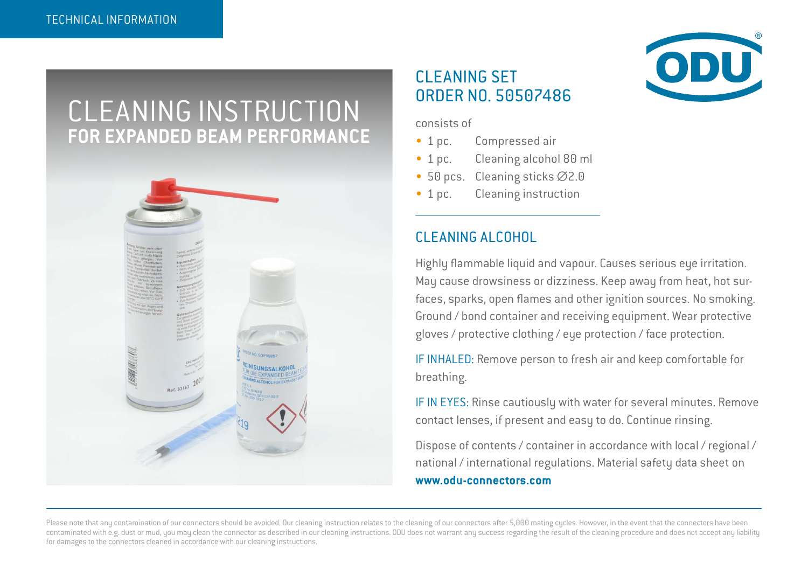# CLEANING INSTRUCTION **FOR EXPANDED BEAM PERFORMANCE**



### CLEANING SET ORDER NO. 50507486

consists of

- 1 pc. Compressed air
- 1 pc. Cleaning alcohol 80 ml
- 50 pcs. Cleaning sticks ∅2.0
- 1 pc. Cleaning instruction

### CLEANING ALCOHOL

Highly flammable liquid and vapour. Causes serious eye irritation. May cause drowsiness or dizziness. Keep away from heat, hot surfaces, sparks, open flames and other ignition sources. No smoking. Ground / bond container and receiving equipment. Wear protective gloves / protective clothing / eye protection / face protection.

IF INHALED: Remove person to fresh air and keep comfortable for breathing.

IF IN EYES: Rinse cautiously with water for several minutes. Remove contact lenses, if present and easy to do. Continue rinsing.

Dispose of contents / container in accordance with local / regional / national / international regulations. Material safety data sheet on **www.odu-connectors.com**

Please note that any contamination of our connectors should be avoided. Our cleaning instruction relates to the cleaning of our connectors after 5,000 mating cycles. However, in the event that the connectors have been contaminated with e.g. dust or mud, you may clean the connector as described in our cleaning instructions. ODU does not warrant any success regarding the result of the cleaning procedure and does not accept any liability for damages to the connectors cleaned in accordance with our cleaning instructions.